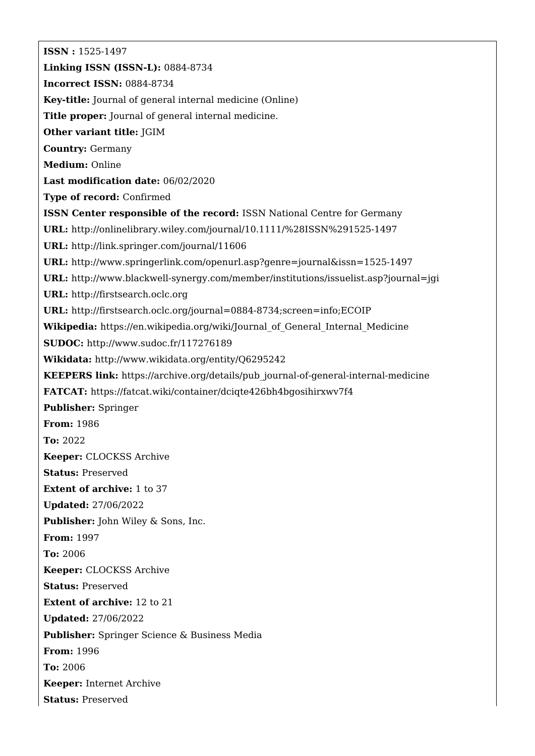**ISSN :** 1525-1497 **Linking ISSN (ISSN-L):** 0884-8734 **Incorrect ISSN:** 0884-8734 **Key-title:** Journal of general internal medicine (Online) **Title proper:** Journal of general internal medicine. **Other variant title:** JGIM **Country:** Germany **Medium:** Online **Last modification date:** 06/02/2020 **Type of record:** Confirmed **ISSN Center responsible of the record:** ISSN National Centre for Germany **URL:** <http://onlinelibrary.wiley.com/journal/10.1111/%28ISSN%291525-1497> **URL:** <http://link.springer.com/journal/11606> **URL:** <http://www.springerlink.com/openurl.asp?genre=journal&issn=1525-1497> **URL:** <http://www.blackwell-synergy.com/member/institutions/issuelist.asp?journal=jgi> **URL:** <http://firstsearch.oclc.org> **URL:** <http://firstsearch.oclc.org/journal=0884-8734;screen=info;ECOIP> **Wikipedia:** [https://en.wikipedia.org/wiki/Journal\\_of\\_General\\_Internal\\_Medicine](https://en.wikipedia.org/wiki/Journal_of_General_Internal_Medicine) **SUDOC:** <http://www.sudoc.fr/117276189> **Wikidata:** <http://www.wikidata.org/entity/Q6295242> **KEEPERS link:** [https://archive.org/details/pub\\_journal-of-general-internal-medicine](https://archive.org/details/pub_journal-of-general-internal-medicine) **FATCAT:** <https://fatcat.wiki/container/dciqte426bh4bgosihirxwv7f4> **Publisher:** Springer **From:** 1986 **To:** 2022 **Keeper:** CLOCKSS Archive **Status:** Preserved **Extent of archive:** 1 to 37 **Updated:** 27/06/2022 **Publisher:** John Wiley & Sons, Inc. **From:** 1997 **To:** 2006 **Keeper:** CLOCKSS Archive **Status:** Preserved **Extent of archive:** 12 to 21 **Updated:** 27/06/2022 **Publisher:** Springer Science & Business Media **From:** 1996 **To:** 2006 **Keeper:** Internet Archive **Status:** Preserved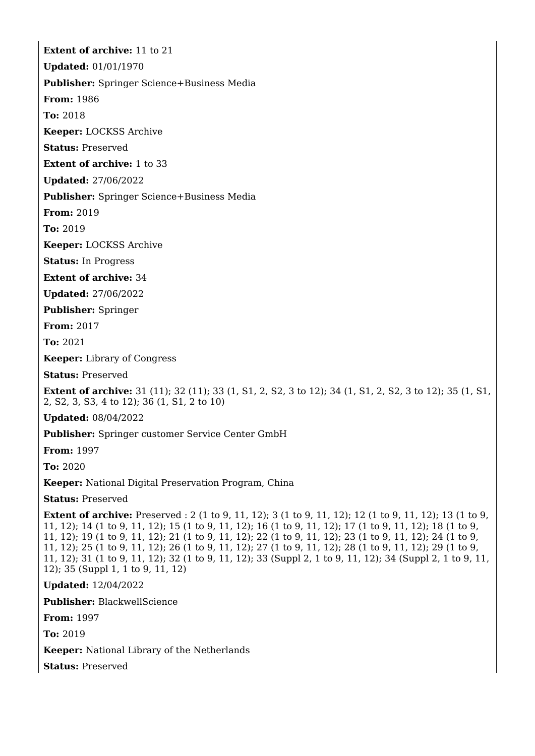**Extent of archive:** 11 to 21

**Updated:** 01/01/1970

**Publisher:** Springer Science+Business Media

**From:** 1986

**To:** 2018

**Keeper:** LOCKSS Archive

**Status:** Preserved

**Extent of archive:** 1 to 33

**Updated:** 27/06/2022

**Publisher:** Springer Science+Business Media

**From:** 2019

**To:** 2019

**Keeper:** LOCKSS Archive

**Status:** In Progress

**Extent of archive:** 34

**Updated:** 27/06/2022

**Publisher:** Springer

**From:** 2017

**To:** 2021

**Keeper:** Library of Congress

**Status:** Preserved

**Extent of archive:** 31 (11); 32 (11); 33 (1, S1, 2, S2, 3 to 12); 34 (1, S1, 2, S2, 3 to 12); 35 (1, S1, 2, S2, 3, S3, 4 to 12); 36 (1, S1, 2 to 10)

**Updated:** 08/04/2022

**Publisher:** Springer customer Service Center GmbH

**From:** 1997

**To:** 2020

**Keeper:** National Digital Preservation Program, China

**Status:** Preserved

**Extent of archive:** Preserved : 2 (1 to 9, 11, 12); 3 (1 to 9, 11, 12); 12 (1 to 9, 11, 12); 13 (1 to 9, 11, 12); 14 (1 to 9, 11, 12); 15 (1 to 9, 11, 12); 16 (1 to 9, 11, 12); 17 (1 to 9, 11, 12); 18 (1 to 9, 11, 12); 19 (1 to 9, 11, 12); 21 (1 to 9, 11, 12); 22 (1 to 9, 11, 12); 23 (1 to 9, 11, 12); 24 (1 to 9, 11, 12); 25 (1 to 9, 11, 12); 26 (1 to 9, 11, 12); 27 (1 to 9, 11, 12); 28 (1 to 9, 11, 12); 29 (1 to 9, 11, 12); 31 (1 to 9, 11, 12); 32 (1 to 9, 11, 12); 33 (Suppl 2, 1 to 9, 11, 12); 34 (Suppl 2, 1 to 9, 11, 12); 35 (Suppl 1, 1 to 9, 11, 12)

**Updated:** 12/04/2022

**Publisher:** BlackwellScience

**From:** 1997

**To:** 2019

**Keeper:** National Library of the Netherlands

**Status:** Preserved